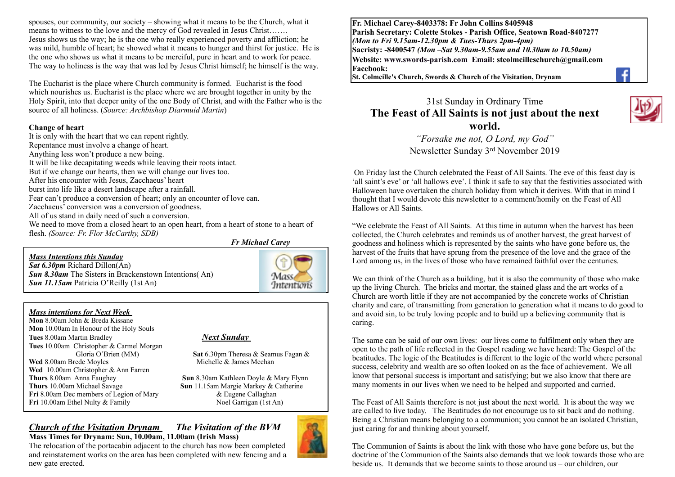spouses, our community, our society – showing what it means to be the Church, what it means to witness to the love and the mercy of God revealed in Jesus Christ……. Jesus shows us the way; he is the one who really experienced poverty and affliction; he was mild, humble of heart; he showed what it means to hunger and thirst for justice. He is the one who shows us what it means to be merciful, pure in heart and to work for peace. The way to holiness is the way that was led by Jesus Christ himself; he himself is the way.

The Eucharist is the place where Church community is formed. Eucharist is the food which nourishes us. Eucharist is the place where we are brought together in unity by the Holy Spirit, into that deeper unity of the one Body of Christ, and with the Father who is the source of all holiness. (*Source: Archbishop Diarmuid Martin*)

#### **Change of heart**

It is only with the heart that we can repent rightly. Repentance must involve a change of heart. Anything less won't produce a new being. It will be like decapitating weeds while leaving their roots intact. But if we change our hearts, then we will change our lives too. After his encounter with Jesus, Zacchaeus' heart burst into life like a desert landscape after a rainfall. Fear can't produce a conversion of heart; only an encounter of love can. Zacchaeus' conversion was a conversion of goodness. All of us stand in daily need of such a conversion. We need to move from a closed heart to an open heart, from a heart of stone to a heart of flesh. *(Source: Fr. Flor McCarthy, SDB)*

*Fr Michael Carey*

#### *Mass Intentions this Sunday*

*Sat 6.30pm* Richard Dillon(An) *Sun 8.30am* The Sisters in Brackenstown Intentions(An) *Sun 11.15am Patricia O'Reilly (1st An)* 



#### *Mass intentions for Next Week*

**Mon** 8.00am John & Breda Kissane **Mon** 10.00am In Honour of the Holy Souls **Tues** 8.00am Martin Bradley *Next Sunday*  **Tues** 10.00am Christopher & Carmel Morgan **Wed** 8.00am Brede Moyles Michelle & James Meehan Wed 10.00am Christopher & Ann Farren<br>**Thurs** 8.00am Anna Faughey **Thurs** 10.00am Michael Savage **Sun** 11.15am Margie Markey & Catherine **Fri** 8.00am Dec members of Legion of Mary **8.** Eugene Callaghan **Fri** 8.00am Dec members of Legion of Mary  $\&$  Eugene Callaghan<br> **Fri** 10.00am Ethel Nulty  $\&$  Family **Algebra 10.00am** (1st An) **Fri** 10.00am Ethel Nulty & Family

Sat 6.30pm Theresa & Seamus Fagan &

**Sun 8.30am Kathleen Doyle & Mary Flynn** 

*Church of the Visitation Drynam**The Visitation of the BVM* **Mass Times for Drynam: Sun, 10.00am, 11.00am (Irish Mass)** 



The relocation of the portacabin adjacent to the church has now been completed and reinstatement works on the area has been completed with new fencing and a new gate erected.



The Feast of All Saints therefore is not just about the next world. It is about the way we are called to live today. The Beatitudes do not encourage us to sit back and do nothing. Being a Christian means belonging to a communion; you cannot be an isolated Christian, just caring for and thinking about yourself.

The Communion of Saints is about the link with those who have gone before us, but the doctrine of the Communion of the Saints also demands that we look towards those who are beside us. It demands that we become saints to those around us – our children, our

**Fr. Michael Carey-8403378: Fr John Collins 8405948 Parish Secretary: Colette Stokes - Parish Office, Seatown Road-8407277**  *(Mon to Fri 9.15am-12.30pm & Tues-Thurs 2pm-4pm)*  **Sacristy: -8400547** *(Mon –Sat 9.30am-9.55am and 10.30am to 10.50am)* **Website: [www.swords-parish.com Email:](http://www.swords-parish.com%20%20email) stcolmcilleschurch@gmail.com Facebook:** 

**St. Colmcille's Church, Swords & Church of the Visitation, Drynam**

# 31st Sunday in Ordinary Time **The Feast of All Saints is not just about the next world.**

*"Forsake me not, O Lord, my God"*  Newsletter Sunday 3rd November 2019

 On Friday last the Church celebrated the Feast of All Saints. The eve of this feast day is 'all saint's eve' or 'all hallows eve'. I think it safe to say that the festivities associated with Halloween have overtaken the church holiday from which it derives. With that in mind I thought that I would devote this newsletter to a comment/homily on the Feast of All Hallows or All Saints.

"We celebrate the Feast of All Saints. At this time in autumn when the harvest has been collected, the Church celebrates and reminds us of another harvest, the great harvest of goodness and holiness which is represented by the saints who have gone before us, the harvest of the fruits that have sprung from the presence of the love and the grace of the Lord among us, in the lives of those who have remained faithful over the centuries.

We can think of the Church as a building, but it is also the community of those who make up the living Church. The bricks and mortar, the stained glass and the art works of a Church are worth little if they are not accompanied by the concrete works of Christian charity and care, of transmitting from generation to generation what it means to do good to and avoid sin, to be truly loving people and to build up a believing community that is caring.

The same can be said of our own lives: our lives come to fulfilment only when they are open to the path of life reflected in the Gospel reading we have heard: The Gospel of the beatitudes. The logic of the Beatitudes is different to the logic of the world where personal success, celebrity and wealth are so often looked on as the face of achievement. We all know that personal success is important and satisfying; but we also know that there are many moments in our lives when we need to be helped and supported and carried.